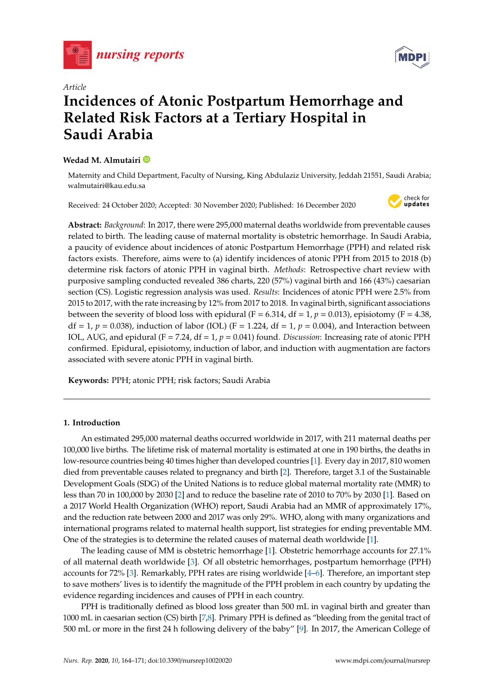



# *Article* **Incidences of Atonic Postpartum Hemorrhage and Related Risk Factors at a Tertiary Hospital in Saudi Arabia**

# **Wedad M. Almutairi**

Maternity and Child Department, Faculty of Nursing, King Abdulaziz University, Jeddah 21551, Saudi Arabia; walmutairi@kau.edu.sa

Received: 24 October 2020; Accepted: 30 November 2020; Published: 16 December 2020



**Abstract:** *Background*: In 2017, there were 295,000 maternal deaths worldwide from preventable causes related to birth. The leading cause of maternal mortality is obstetric hemorrhage. In Saudi Arabia, a paucity of evidence about incidences of atonic Postpartum Hemorrhage (PPH) and related risk factors exists. Therefore, aims were to (a) identify incidences of atonic PPH from 2015 to 2018 (b) determine risk factors of atonic PPH in vaginal birth. *Methods*: Retrospective chart review with purposive sampling conducted revealed 386 charts, 220 (57%) vaginal birth and 166 (43%) caesarian section (CS). Logistic regression analysis was used. *Results*: Incidences of atonic PPH were 2.5% from 2015 to 2017, with the rate increasing by 12% from 2017 to 2018. In vaginal birth, significant associations between the severity of blood loss with epidural (F = 6.314, df = 1,  $p = 0.013$ ), episiotomy (F = 4.38,  $df = 1$ ,  $p = 0.038$ ), induction of labor (IOL) (F = 1.224, df = 1,  $p = 0.004$ ), and Interaction between IOL, AUG, and epidural (F = 7.24, df = 1, *p* = 0.041) found. *Discussion*: Increasing rate of atonic PPH confirmed. Epidural, episiotomy, induction of labor, and induction with augmentation are factors associated with severe atonic PPH in vaginal birth.

**Keywords:** PPH; atonic PPH; risk factors; Saudi Arabia

### **1. Introduction**

An estimated 295,000 maternal deaths occurred worldwide in 2017, with 211 maternal deaths per 100,000 live births. The lifetime risk of maternal mortality is estimated at one in 190 births, the deaths in low-resource countries being 40 times higher than developed countries [\[1\]](#page-6-0). Every day in 2017, 810 women died from preventable causes related to pregnancy and birth [\[2\]](#page-6-1). Therefore, target 3.1 of the Sustainable Development Goals (SDG) of the United Nations is to reduce global maternal mortality rate (MMR) to less than 70 in 100,000 by 2030 [\[2\]](#page-6-1) and to reduce the baseline rate of 2010 to 70% by 2030 [\[1\]](#page-6-0). Based on a 2017 World Health Organization (WHO) report, Saudi Arabia had an MMR of approximately 17%, and the reduction rate between 2000 and 2017 was only 29%. WHO, along with many organizations and international programs related to maternal health support, list strategies for ending preventable MM. One of the strategies is to determine the related causes of maternal death worldwide [\[1\]](#page-6-0).

The leading cause of MM is obstetric hemorrhage [\[1\]](#page-6-0). Obstetric hemorrhage accounts for 27.1% of all maternal death worldwide [\[3\]](#page-6-2). Of all obstetric hemorrhages, postpartum hemorrhage (PPH) accounts for 72% [\[3\]](#page-6-2). Remarkably, PPH rates are rising worldwide [\[4](#page-6-3)[–6\]](#page-6-4). Therefore, an important step to save mothers' lives is to identify the magnitude of the PPH problem in each country by updating the evidence regarding incidences and causes of PPH in each country.

PPH is traditionally defined as blood loss greater than 500 mL in vaginal birth and greater than 1000 mL in caesarian section (CS) birth [\[7](#page-6-5)[,8\]](#page-6-6). Primary PPH is defined as "bleeding from the genital tract of 500 mL or more in the first 24 h following delivery of the baby" [\[9\]](#page-6-7). In 2017, the American College of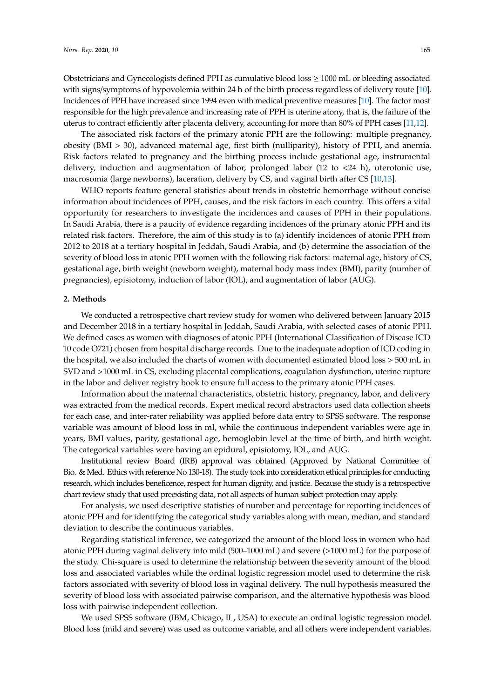Obstetricians and Gynecologists defined PPH as cumulative blood loss  $\geq 1000$  mL or bleeding associated with signs/symptoms of hypovolemia within 24 h of the birth process regardless of delivery route [\[10\]](#page-6-8). Incidences of PPH have increased since 1994 even with medical preventive measures [\[10\]](#page-6-8). The factor most responsible for the high prevalence and increasing rate of PPH is uterine atony, that is, the failure of the uterus to contract efficiently after placenta delivery, accounting for more than 80% of PPH cases [\[11,](#page-6-9)[12\]](#page-6-10).

The associated risk factors of the primary atonic PPH are the following: multiple pregnancy, obesity (BMI > 30), advanced maternal age, first birth (nulliparity), history of PPH, and anemia. Risk factors related to pregnancy and the birthing process include gestational age, instrumental delivery, induction and augmentation of labor, prolonged labor (12 to  $\lt 24$  h), uterotonic use, macrosomia (large newborns), laceration, delivery by CS, and vaginal birth after CS [\[10,](#page-6-8)[13\]](#page-6-11).

WHO reports feature general statistics about trends in obstetric hemorrhage without concise information about incidences of PPH, causes, and the risk factors in each country. This offers a vital opportunity for researchers to investigate the incidences and causes of PPH in their populations. In Saudi Arabia, there is a paucity of evidence regarding incidences of the primary atonic PPH and its related risk factors. Therefore, the aim of this study is to (a) identify incidences of atonic PPH from 2012 to 2018 at a tertiary hospital in Jeddah, Saudi Arabia, and (b) determine the association of the severity of blood loss in atonic PPH women with the following risk factors: maternal age, history of CS, gestational age, birth weight (newborn weight), maternal body mass index (BMI), parity (number of pregnancies), episiotomy, induction of labor (IOL), and augmentation of labor (AUG).

#### **2. Methods**

We conducted a retrospective chart review study for women who delivered between January 2015 and December 2018 in a tertiary hospital in Jeddah, Saudi Arabia, with selected cases of atonic PPH. We defined cases as women with diagnoses of atonic PPH (International Classification of Disease ICD 10 code O721) chosen from hospital discharge records. Due to the inadequate adoption of ICD coding in the hospital, we also included the charts of women with documented estimated blood loss > 500 mL in SVD and >1000 mL in CS, excluding placental complications, coagulation dysfunction, uterine rupture in the labor and deliver registry book to ensure full access to the primary atonic PPH cases.

Information about the maternal characteristics, obstetric history, pregnancy, labor, and delivery was extracted from the medical records. Expert medical record abstractors used data collection sheets for each case, and inter-rater reliability was applied before data entry to SPSS software. The response variable was amount of blood loss in ml, while the continuous independent variables were age in years, BMI values, parity, gestational age, hemoglobin level at the time of birth, and birth weight. The categorical variables were having an epidural, episiotomy, IOL, and AUG.

Institutional review Board (IRB) approval was obtained (Approved by National Committee of Bio. & Med. Ethics with reference No 130-18). The study took into consideration ethical principles for conducting research, which includes beneficence, respect for human dignity, and justice. Because the study is a retrospective chart review study that used preexisting data, not all aspects of human subject protection may apply.

For analysis, we used descriptive statistics of number and percentage for reporting incidences of atonic PPH and for identifying the categorical study variables along with mean, median, and standard deviation to describe the continuous variables.

Regarding statistical inference, we categorized the amount of the blood loss in women who had atonic PPH during vaginal delivery into mild (500–1000 mL) and severe (>1000 mL) for the purpose of the study. Chi-square is used to determine the relationship between the severity amount of the blood loss and associated variables while the ordinal logistic regression model used to determine the risk factors associated with severity of blood loss in vaginal delivery. The null hypothesis measured the severity of blood loss with associated pairwise comparison, and the alternative hypothesis was blood loss with pairwise independent collection.

We used SPSS software (IBM, Chicago, IL, USA) to execute an ordinal logistic regression model. Blood loss (mild and severe) was used as outcome variable, and all others were independent variables.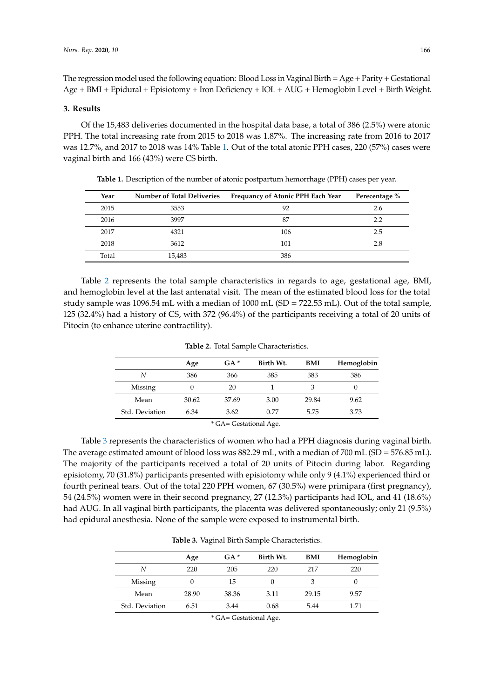The regression model used the following equation: Blood Loss in Vaginal Birth= Age+Parity+ Gestational Age + BMI + Epidural + Episiotomy + Iron Deficiency + IOL + AUG + Hemoglobin Level + Birth Weight.

#### **3. Results**

Of the 15,483 deliveries documented in the hospital data base, a total of 386 (2.5%) were atonic PPH. The total increasing rate from 2015 to 2018 was 1.87%. The increasing rate from 2016 to 2017 was 12.7%, and 2017 to 2018 was 14% Table [1.](#page-2-0) Out of the total atonic PPH cases, 220 (57%) cases were vaginal birth and 166 (43%) were CS birth.

<span id="page-2-0"></span>

| Year  | <b>Number of Total Deliveries</b> | Frequancy of Atonic PPH Each Year | Perecentage % |
|-------|-----------------------------------|-----------------------------------|---------------|
| 2015  | 3553                              | 92                                | 2.6           |
| 2016  | 3997                              | 87                                | 2.2           |
| 2017  | 4321                              | 106                               | 2.5           |
| 2018  | 3612                              | 101                               | 2.8           |
| Total | 15.483                            | 386                               |               |

**Table 1.** Description of the number of atonic postpartum hemorrhage (PPH) cases per year.

Table [2](#page-2-1) represents the total sample characteristics in regards to age, gestational age, BMI, and hemoglobin level at the last antenatal visit. The mean of the estimated blood loss for the total study sample was 1096.54 mL with a median of 1000 mL (SD = 722.53 mL). Out of the total sample, 125 (32.4%) had a history of CS, with 372 (96.4%) of the participants receiving a total of 20 units of Pitocin (to enhance uterine contractility).

<span id="page-2-1"></span>

|                                    | Age   | $GA*$ | Birth Wt. | BMI   | Hemoglobin |  |
|------------------------------------|-------|-------|-----------|-------|------------|--|
| N                                  | 386   | 366   | 385       | 383   | 386        |  |
| Missing                            | 0     | 20    |           | 3     | 0          |  |
| Mean                               | 30.62 | 37.69 | 3.00      | 29.84 | 9.62       |  |
| Std. Deviation                     | 6.34  | 3.62  | 0.77      | 5.75  | 3.73       |  |
| $\cdots$ $\sim$ $\cdots$<br>$\sim$ |       |       |           |       |            |  |

**Table 2.** Total Sample Characteristics.

\* GA= Gestational Age.

Table [3](#page-2-2) represents the characteristics of women who had a PPH diagnosis during vaginal birth. The average estimated amount of blood loss was 882.29 mL, with a median of 700 mL (SD = 576.85 mL). The majority of the participants received a total of 20 units of Pitocin during labor. Regarding episiotomy, 70 (31.8%) participants presented with episiotomy while only 9 (4.1%) experienced third or fourth perineal tears. Out of the total 220 PPH women, 67 (30.5%) were primipara (first pregnancy), 54 (24.5%) women were in their second pregnancy, 27 (12.3%) participants had IOL, and 41 (18.6%) had AUG. In all vaginal birth participants, the placenta was delivered spontaneously; only 21 (9.5%) had epidural anesthesia. None of the sample were exposed to instrumental birth.

|  |  |  |  | Table 3. Vaginal Birth Sample Characteristics. |
|--|--|--|--|------------------------------------------------|
|--|--|--|--|------------------------------------------------|

<span id="page-2-2"></span>

|                | Age   | $GA*$ | Birth Wt. | BMI   | Hemoglobin |
|----------------|-------|-------|-----------|-------|------------|
| N              | 220   | 205   | 220       | 217   | 220        |
| Missing        | 0     | 15    |           | 3     | O          |
| Mean           | 28.90 | 38.36 | 3.11      | 29.15 | 9.57       |
| Std. Deviation | 6.51  | 3.44  | 0.68      | 5.44  | 1.71       |

<sup>\*</sup> GA= Gestational Age.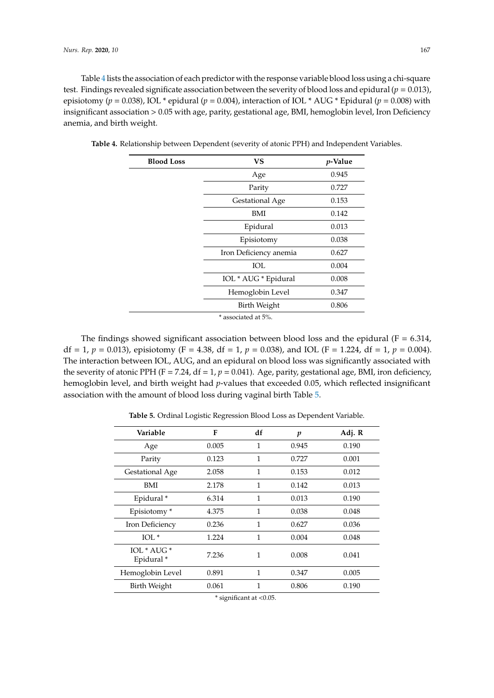Table [4](#page-3-0) lists the association of each predictor with the response variable blood loss using a chi-square test. Findings revealed significate association between the severity of blood loss and epidural (*p* = 0.013), episiotomy (*p* = 0.038), IOL \* epidural (*p* = 0.004), interaction of IOL \* AUG \* Epidural (*p* = 0.008) with insignificant association > 0.05 with age, parity, gestational age, BMI, hemoglobin level, Iron Deficiency anemia, and birth weight.

| <b>Blood Loss</b> | <b>VS</b>                                                       | <i>p</i> -Value<br>0.945 |  |
|-------------------|-----------------------------------------------------------------|--------------------------|--|
|                   | Age                                                             |                          |  |
|                   | Parity                                                          | 0.727                    |  |
|                   | Gestational Age                                                 | 0.153                    |  |
|                   | BMI                                                             | 0.142                    |  |
|                   | Epidural                                                        | 0.013                    |  |
|                   | Episiotomy                                                      | 0.038                    |  |
|                   | Iron Deficiency anemia                                          | 0.627                    |  |
|                   | IOL                                                             | 0.004                    |  |
|                   | IOL * AUG * Epidural                                            | 0.008                    |  |
|                   | Hemoglobin Level                                                | 0.347                    |  |
|                   | Birth Weight                                                    | 0.806                    |  |
|                   | $\cdot$ $\cdot$ $\cdot$ $\cdot$ $\cdot$ $\cdot$ $\cdot$ $\cdot$ |                          |  |

<span id="page-3-0"></span>**Table 4.** Relationship between Dependent (severity of atonic PPH) and Independent Variables.

associated at 5%.

The findings showed significant association between blood loss and the epidural ( $F = 6.314$ , df = 1,  $p = 0.013$ ), episiotomy (F = 4.38, df = 1,  $p = 0.038$ ), and IOL (F = 1.224, df = 1,  $p = 0.004$ ). The interaction between IOL, AUG, and an epidural on blood loss was significantly associated with the severity of atonic PPH ( $F = 7.24$ ,  $df = 1$ ,  $p = 0.041$ ). Age, parity, gestational age, BMI, iron deficiency, hemoglobin level, and birth weight had *p*-values that exceeded 0.05, which reflected insignificant association with the amount of blood loss during vaginal birth Table [5.](#page-3-1)

**Table 5.** Ordinal Logistic Regression Blood Loss as Dependent Variable.

<span id="page-3-1"></span>

| Variable                             | F     | df           | p     | Adj. R |
|--------------------------------------|-------|--------------|-------|--------|
| Age                                  | 0.005 | 1            | 0.945 | 0.190  |
| Parity                               | 0.123 | 1            | 0.727 | 0.001  |
| Gestational Age                      | 2.058 | $\mathbf{1}$ | 0.153 | 0.012  |
| BMI                                  | 2.178 | 1            | 0.142 | 0.013  |
| Epidural*                            | 6.314 | 1            | 0.013 | 0.190  |
| Episiotomy*                          | 4.375 | 1            | 0.038 | 0.048  |
| Iron Deficiency                      | 0.236 | $\mathbf{1}$ | 0.627 | 0.036  |
| $IOL^*$                              | 1.224 | $\mathbf{1}$ | 0.004 | 0.048  |
| IOL * AUG *<br>Epidural <sup>*</sup> | 7.236 | 1            | 0.008 | 0.041  |
| Hemoglobin Level                     | 0.891 | 1            | 0.347 | 0.005  |
| Birth Weight                         | 0.061 | 1            | 0.806 | 0.190  |

\* significant at <0.05.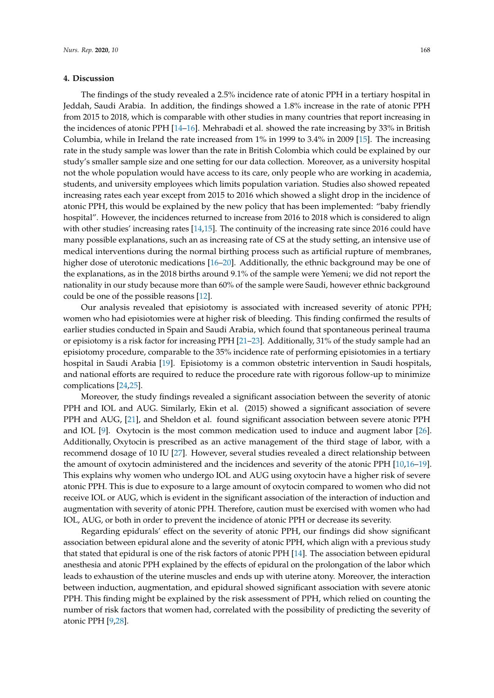#### **4. Discussion**

The findings of the study revealed a 2.5% incidence rate of atonic PPH in a tertiary hospital in Jeddah, Saudi Arabia. In addition, the findings showed a 1.8% increase in the rate of atonic PPH from 2015 to 2018, which is comparable with other studies in many countries that report increasing in the incidences of atonic PPH [\[14](#page-6-12)[–16\]](#page-6-13). Mehrabadi et al. showed the rate increasing by 33% in British Columbia, while in Ireland the rate increased from 1% in 1999 to 3.4% in 2009 [\[15\]](#page-6-14). The increasing rate in the study sample was lower than the rate in British Colombia which could be explained by our study's smaller sample size and one setting for our data collection. Moreover, as a university hospital not the whole population would have access to its care, only people who are working in academia, students, and university employees which limits population variation. Studies also showed repeated increasing rates each year except from 2015 to 2016 which showed a slight drop in the incidence of atonic PPH, this would be explained by the new policy that has been implemented: "baby friendly hospital". However, the incidences returned to increase from 2016 to 2018 which is considered to align with other studies' increasing rates [\[14,](#page-6-12)[15\]](#page-6-14). The continuity of the increasing rate since 2016 could have many possible explanations, such an as increasing rate of CS at the study setting, an intensive use of medical interventions during the normal birthing process such as artificial rupture of membranes, higher dose of uterotonic medications [\[16–](#page-6-13)[20\]](#page-7-0). Additionally, the ethnic background may be one of the explanations, as in the 2018 births around 9.1% of the sample were Yemeni; we did not report the nationality in our study because more than 60% of the sample were Saudi, however ethnic background could be one of the possible reasons [\[12\]](#page-6-10).

Our analysis revealed that episiotomy is associated with increased severity of atonic PPH; women who had episiotomies were at higher risk of bleeding. This finding confirmed the results of earlier studies conducted in Spain and Saudi Arabia, which found that spontaneous perineal trauma or episiotomy is a risk factor for increasing PPH [\[21](#page-7-1)[–23\]](#page-7-2). Additionally, 31% of the study sample had an episiotomy procedure, comparable to the 35% incidence rate of performing episiotomies in a tertiary hospital in Saudi Arabia [\[19\]](#page-7-3). Episiotomy is a common obstetric intervention in Saudi hospitals, and national efforts are required to reduce the procedure rate with rigorous follow-up to minimize complications [\[24](#page-7-4)[,25\]](#page-7-5).

Moreover, the study findings revealed a significant association between the severity of atonic PPH and IOL and AUG. Similarly, Ekin et al. (2015) showed a significant association of severe PPH and AUG, [\[21\]](#page-7-1), and Sheldon et al. found significant association between severe atonic PPH and IOL [\[9\]](#page-6-7). Oxytocin is the most common medication used to induce and augment labor [\[26\]](#page-7-6). Additionally, Oxytocin is prescribed as an active management of the third stage of labor, with a recommend dosage of 10 IU [\[27\]](#page-7-7). However, several studies revealed a direct relationship between the amount of oxytocin administered and the incidences and severity of the atonic PPH [\[10,](#page-6-8)[16–](#page-6-13)[19\]](#page-7-3). This explains why women who undergo IOL and AUG using oxytocin have a higher risk of severe atonic PPH. This is due to exposure to a large amount of oxytocin compared to women who did not receive IOL or AUG, which is evident in the significant association of the interaction of induction and augmentation with severity of atonic PPH. Therefore, caution must be exercised with women who had IOL, AUG, or both in order to prevent the incidence of atonic PPH or decrease its severity.

Regarding epidurals' effect on the severity of atonic PPH, our findings did show significant association between epidural alone and the severity of atonic PPH, which align with a previous study that stated that epidural is one of the risk factors of atonic PPH [\[14\]](#page-6-12). The association between epidural anesthesia and atonic PPH explained by the effects of epidural on the prolongation of the labor which leads to exhaustion of the uterine muscles and ends up with uterine atony. Moreover, the interaction between induction, augmentation, and epidural showed significant association with severe atonic PPH. This finding might be explained by the risk assessment of PPH, which relied on counting the number of risk factors that women had, correlated with the possibility of predicting the severity of atonic PPH [\[9](#page-6-7)[,28\]](#page-7-8).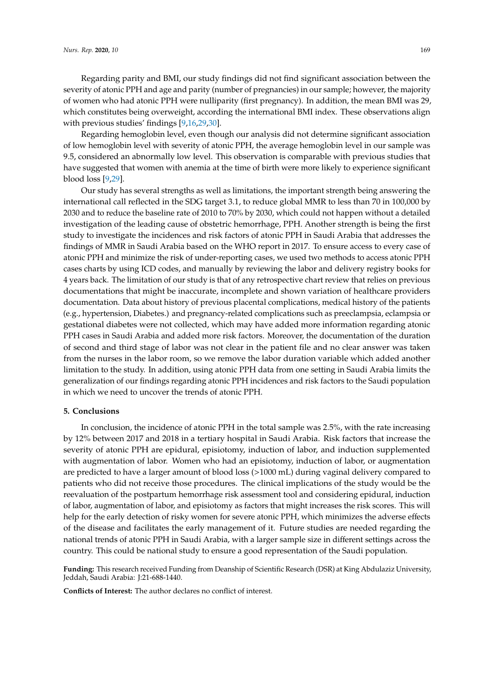Regarding parity and BMI, our study findings did not find significant association between the severity of atonic PPH and age and parity (number of pregnancies) in our sample; however, the majority of women who had atonic PPH were nulliparity (first pregnancy). In addition, the mean BMI was 29, which constitutes being overweight, according the international BMI index. These observations align with previous studies' findings [\[9](#page-6-7)[,16](#page-6-13)[,29](#page-7-9)[,30\]](#page-7-10).

Regarding hemoglobin level, even though our analysis did not determine significant association of low hemoglobin level with severity of atonic PPH, the average hemoglobin level in our sample was 9.5, considered an abnormally low level. This observation is comparable with previous studies that have suggested that women with anemia at the time of birth were more likely to experience significant blood loss [\[9](#page-6-7)[,29\]](#page-7-9).

Our study has several strengths as well as limitations, the important strength being answering the international call reflected in the SDG target 3.1, to reduce global MMR to less than 70 in 100,000 by 2030 and to reduce the baseline rate of 2010 to 70% by 2030, which could not happen without a detailed investigation of the leading cause of obstetric hemorrhage, PPH. Another strength is being the first study to investigate the incidences and risk factors of atonic PPH in Saudi Arabia that addresses the findings of MMR in Saudi Arabia based on the WHO report in 2017. To ensure access to every case of atonic PPH and minimize the risk of under-reporting cases, we used two methods to access atonic PPH cases charts by using ICD codes, and manually by reviewing the labor and delivery registry books for 4 years back. The limitation of our study is that of any retrospective chart review that relies on previous documentations that might be inaccurate, incomplete and shown variation of healthcare providers documentation. Data about history of previous placental complications, medical history of the patients (e.g., hypertension, Diabetes.) and pregnancy-related complications such as preeclampsia, eclampsia or gestational diabetes were not collected, which may have added more information regarding atonic PPH cases in Saudi Arabia and added more risk factors. Moreover, the documentation of the duration of second and third stage of labor was not clear in the patient file and no clear answer was taken from the nurses in the labor room, so we remove the labor duration variable which added another limitation to the study. In addition, using atonic PPH data from one setting in Saudi Arabia limits the generalization of our findings regarding atonic PPH incidences and risk factors to the Saudi population in which we need to uncover the trends of atonic PPH.

#### **5. Conclusions**

In conclusion, the incidence of atonic PPH in the total sample was 2.5%, with the rate increasing by 12% between 2017 and 2018 in a tertiary hospital in Saudi Arabia. Risk factors that increase the severity of atonic PPH are epidural, episiotomy, induction of labor, and induction supplemented with augmentation of labor. Women who had an episiotomy, induction of labor, or augmentation are predicted to have a larger amount of blood loss (>1000 mL) during vaginal delivery compared to patients who did not receive those procedures. The clinical implications of the study would be the reevaluation of the postpartum hemorrhage risk assessment tool and considering epidural, induction of labor, augmentation of labor, and episiotomy as factors that might increases the risk scores. This will help for the early detection of risky women for severe atonic PPH, which minimizes the adverse effects of the disease and facilitates the early management of it. Future studies are needed regarding the national trends of atonic PPH in Saudi Arabia, with a larger sample size in different settings across the country. This could be national study to ensure a good representation of the Saudi population.

**Funding:** This research received Funding from Deanship of Scientific Research (DSR) at King Abdulaziz University, Jeddah, Saudi Arabia: J:21-688-1440.

**Conflicts of Interest:** The author declares no conflict of interest.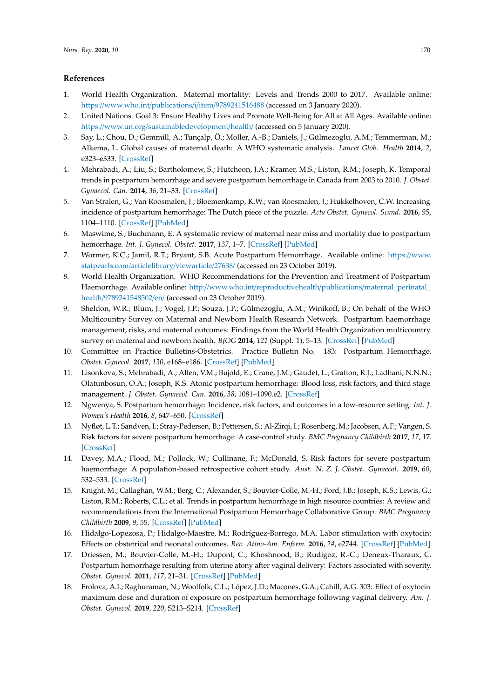# **References**

- <span id="page-6-0"></span>1. World Health Organization. Maternal mortality: Levels and Trends 2000 to 2017. Available online: https://www.who.int/publications/i/item/[9789241516488](https://www.who.int/publications/i/item/9789241516488) (accessed on 3 January 2020).
- <span id="page-6-1"></span>2. United Nations. Goal 3: Ensure Healthy Lives and Promote Well-Being for All at All Ages. Available online: https://www.un.org/[sustainabledevelopment](https://www.un.org/sustainabledevelopment/health/)/health/ (accessed on 5 January 2020).
- <span id="page-6-2"></span>3. Say, L.; Chou, D.; Gemmill, A.; Tunçalp, Ö.; Moller, A.-B.; Daniels, J.; Gülmezoglu, A.M.; Temmerman, M.; Alkema, L. Global causes of maternal death: A WHO systematic analysis. *Lancet Glob. Health* **2014**, *2*, e323–e333. [\[CrossRef\]](http://dx.doi.org/10.1016/S2214-109X(14)70227-X)
- <span id="page-6-3"></span>4. Mehrabadi, A.; Liu, S.; Bartholomew, S.; Hutcheon, J.A.; Kramer, M.S.; Liston, R.M.; Joseph, K. Temporal trends in postpartum hemorrhage and severe postpartum hemorrhage in Canada from 2003 to 2010. *J. Obstet. Gynaecol. Can.* **2014**, *36*, 21–33. [\[CrossRef\]](http://dx.doi.org/10.1016/S1701-2163(15)30680-0)
- 5. Van Stralen, G.; Van Roosmalen, J.; Bloemenkamp, K.W.; van Roosmalen, J.; Hukkelhoven, C.W. Increasing incidence of postpartum hemorrhage: The Dutch piece of the puzzle. *Acta Obstet. Gynecol. Scand.* **2016**, *95*, 1104–1110. [\[CrossRef\]](http://dx.doi.org/10.1111/aogs.12950) [\[PubMed\]](http://www.ncbi.nlm.nih.gov/pubmed/27460955)
- <span id="page-6-4"></span>6. Maswime, S.; Buchmann, E. A systematic review of maternal near miss and mortality due to postpartum hemorrhage. *Int. J. Gynecol. Obstet.* **2017**, *137*, 1–7. [\[CrossRef\]](http://dx.doi.org/10.1002/ijgo.12096) [\[PubMed\]](http://www.ncbi.nlm.nih.gov/pubmed/28099749)
- <span id="page-6-5"></span>7. Wormer, K.C.; Jamil, R.T.; Bryant, S.B. Acute Postpartum Hemorrhage. Available online: https://[www.](https://www.statpearls.com/articlelibrary/viewarticle/27638/) [statpearls.com](https://www.statpearls.com/articlelibrary/viewarticle/27638/)/articlelibrary/viewarticle/27638/ (accessed on 23 October 2019).
- <span id="page-6-6"></span>8. World Health Organization. WHO Recommendations for the Prevention and Treatment of Postpartum Haemorrhage. Available online: http://www.who.int/reproductivehealth/publications/[maternal\\_perinatal\\_](http://www.who.int/reproductivehealth/publications/maternal_perinatal_health/9789241548502/en/) health/[9789241548502](http://www.who.int/reproductivehealth/publications/maternal_perinatal_health/9789241548502/en/)/en/ (accessed on 23 October 2019).
- <span id="page-6-7"></span>9. Sheldon, W.R.; Blum, J.; Vogel, J.P.; Souza, J.P.; Gülmezoglu, A.M.; Winikoff, B.; On behalf of the WHO Multicountry Survey on Maternal and Newborn Health Research Network. Postpartum haemorrhage management, risks, and maternal outcomes: Findings from the World Health Organization multicountry survey on maternal and newborn health. *BJOG* **2014**, *121* (Suppl. 1), 5–13. [\[CrossRef\]](http://dx.doi.org/10.1111/1471-0528.12636) [\[PubMed\]](http://www.ncbi.nlm.nih.gov/pubmed/24641530)
- <span id="page-6-8"></span>10. Committee on Practice Bulletins-Obstetrics. Practice Bulletin No. 183: Postpartum Hemorrhage. *Obstet. Gynecol.* **2017**, *130*, e168–e186. [\[CrossRef\]](http://dx.doi.org/10.1097/AOG.0000000000002351) [\[PubMed\]](http://www.ncbi.nlm.nih.gov/pubmed/28937571)
- <span id="page-6-9"></span>11. Lisonkova, S.; Mehrabadi, A.; Allen, V.M.; Bujold, E.; Crane, J.M.; Gaudet, L.; Gratton, R.J.; Ladhani, N.N.N.; Olatunbosun, O.A.; Joseph, K.S. Atonic postpartum hemorrhage: Blood loss, risk factors, and third stage management. *J. Obstet. Gynaecol. Can.* **2016**, *38*, 1081–1090.e2. [\[CrossRef\]](http://dx.doi.org/10.1016/j.jogc.2016.06.014)
- <span id="page-6-10"></span>12. Ngwenya, S. Postpartum hemorrhage: Incidence, risk factors, and outcomes in a low-resource setting. *Int. J. Women's Health* **2016**, *8*, 647–650. [\[CrossRef\]](http://dx.doi.org/10.2147/IJWH.S119232)
- <span id="page-6-11"></span>13. Nyfløt, L.T.; Sandven, I.; Stray-Pedersen, B.; Pettersen, S.; Al-Zirqi, I.; Rosenberg, M.; Jacobsen, A.F.; Vangen, S. Risk factors for severe postpartum hemorrhage: A case-control study. *BMC Pregnancy Childbirth* **2017**, *17*, 17. [\[CrossRef\]](http://dx.doi.org/10.1186/s12884-016-1217-0)
- <span id="page-6-12"></span>14. Davey, M.A.; Flood, M.; Pollock, W.; Cullinane, F.; McDonald, S. Risk factors for severe postpartum haemorrhage: A population-based retrospective cohort study. *Aust. N. Z. J. Obstet. Gynaecol.* **2019**, *60*, 532–533. [\[CrossRef\]](http://dx.doi.org/10.1111/ajo.13099)
- <span id="page-6-14"></span>15. Knight, M.; Callaghan, W.M.; Berg, C.; Alexander, S.; Bouvier-Colle, M.-H.; Ford, J.B.; Joseph, K.S.; Lewis, G.; Liston, R.M.; Roberts, C.L.; et al. Trends in postpartum hemorrhage in high resource countries: A review and recommendations from the International Postpartum Hemorrhage Collaborative Group. *BMC Pregnancy Childbirth* **2009**, *9*, 55. [\[CrossRef\]](http://dx.doi.org/10.1186/1471-2393-9-55) [\[PubMed\]](http://www.ncbi.nlm.nih.gov/pubmed/19943928)
- <span id="page-6-13"></span>16. Hidalgo-Lopezosa, P.; Hidalgo-Maestre, M.; Rodríguez-Borrego, M.A. Labor stimulation with oxytocin: Effects on obstetrical and neonatal outcomes. *Rev. Atino-Am. Enferm.* **2016**, *24*, e2744. [\[CrossRef\]](http://dx.doi.org/10.1590/1518-8345.0765.2744) [\[PubMed\]](http://www.ncbi.nlm.nih.gov/pubmed/27463109)
- 17. Driessen, M.; Bouvier-Colle, M.-H.; Dupont, C.; Khoshnood, B.; Rudigoz, R.-C.; Deneux-Tharaux, C. Postpartum hemorrhage resulting from uterine atony after vaginal delivery: Factors associated with severity. *Obstet. Gynecol.* **2011**, *117*, 21–31. [\[CrossRef\]](http://dx.doi.org/10.1097/AOG.0b013e318202c845) [\[PubMed\]](http://www.ncbi.nlm.nih.gov/pubmed/21173641)
- 18. Frolova, A.I.; Raghuraman, N.; Woolfolk, C.L.; López, J.D.; Macones, G.A.; Cahill, A.G. 303: Effect of oxytocin maximum dose and duration of exposure on postpartum hemorrhage following vaginal delivery. *Am. J. Obstet. Gynecol.* **2019**, *220*, S213–S214. [\[CrossRef\]](http://dx.doi.org/10.1016/j.ajog.2018.11.324)